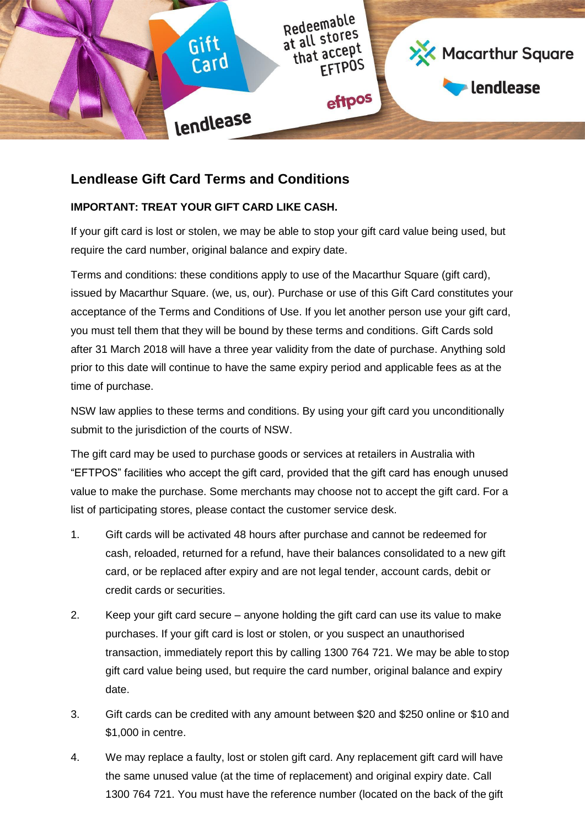

## **Lendlease Gift Card Terms and Conditions**

## **IMPORTANT: TREAT YOUR GIFT CARD LIKE CASH.**

If your gift card is lost or stolen, we may be able to stop your gift card value being used, but require the card number, original balance and expiry date.

Terms and conditions: these conditions apply to use of the Macarthur Square (gift card), issued by Macarthur Square. (we, us, our). Purchase or use of this Gift Card constitutes your acceptance of the Terms and Conditions of Use. If you let another person use your gift card, you must tell them that they will be bound by these terms and conditions. Gift Cards sold after 31 March 2018 will have a three year validity from the date of purchase. Anything sold prior to this date will continue to have the same expiry period and applicable fees as at the time of purchase.

NSW law applies to these terms and conditions. By using your gift card you unconditionally submit to the jurisdiction of the courts of NSW.

The gift card may be used to purchase goods or services at retailers in Australia with "EFTPOS" facilities who accept the gift card, provided that the gift card has enough unused value to make the purchase. Some merchants may choose not to accept the gift card. For a list of participating stores, please contact the customer service desk.

- 1. Gift cards will be activated 48 hours after purchase and cannot be redeemed for cash, reloaded, returned for a refund, have their balances consolidated to a new gift card, or be replaced after expiry and are not legal tender, account cards, debit or credit cards or securities.
- 2. Keep your gift card secure anyone holding the gift card can use its value to make purchases. If your gift card is lost or stolen, or you suspect an unauthorised transaction, immediately report this by calling 1300 764 721. We may be able to stop gift card value being used, but require the card number, original balance and expiry date.
- 3. Gift cards can be credited with any amount between \$20 and \$250 online or \$10 and \$1,000 in centre.
- 4. We may replace a faulty, lost or stolen gift card. Any replacement gift card will have the same unused value (at the time of replacement) and original expiry date. Call 1300 764 721. You must have the reference number (located on the back of the gift